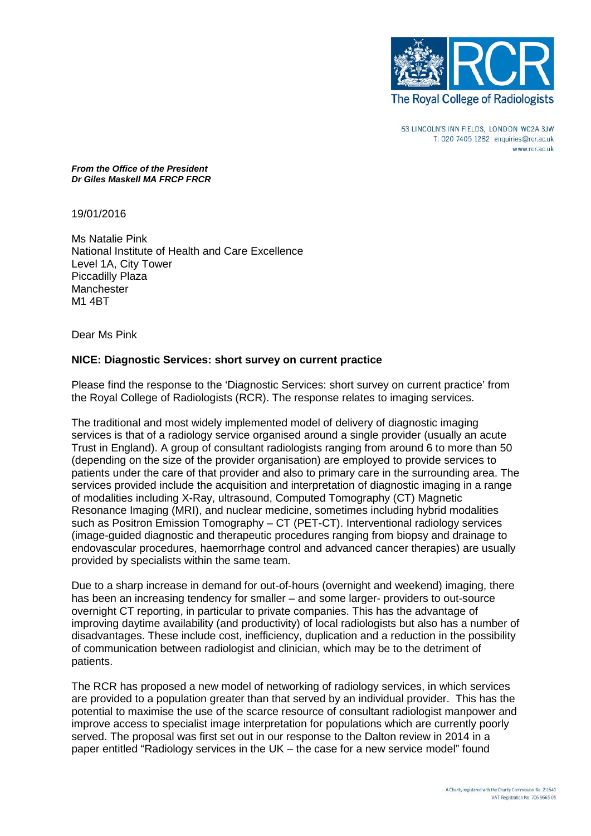

63 LINCOLN'S INN FIELDS. LONDON WC2A 3JW T: 020 7405 1282 enquiries@rcr.ac.uk www.rcr.ac.uk

*From the Office of the President Dr Giles Maskell MA FRCP FRCR*

19/01/2016

Ms Natalie Pink National Institute of Health and Care Excellence Level 1A, City Tower Piccadilly Plaza **Manchester** M1 4BT

Dear Ms Pink

## **NICE: Diagnostic Services: short survey on current practice**

Please find the response to the 'Diagnostic Services: short survey on current practice' from the Royal College of Radiologists (RCR). The response relates to imaging services.

The traditional and most widely implemented model of delivery of diagnostic imaging services is that of a radiology service organised around a single provider (usually an acute Trust in England). A group of consultant radiologists ranging from around 6 to more than 50 (depending on the size of the provider organisation) are employed to provide services to patients under the care of that provider and also to primary care in the surrounding area. The services provided include the acquisition and interpretation of diagnostic imaging in a range of modalities including X-Ray, ultrasound, Computed Tomography (CT) Magnetic Resonance Imaging (MRI), and nuclear medicine, sometimes including hybrid modalities such as Positron Emission Tomography – CT (PET-CT). Interventional radiology services (image-guided diagnostic and therapeutic procedures ranging from biopsy and drainage to endovascular procedures, haemorrhage control and advanced cancer therapies) are usually provided by specialists within the same team.

Due to a sharp increase in demand for out-of-hours (overnight and weekend) imaging, there has been an increasing tendency for smaller – and some larger- providers to out-source overnight CT reporting, in particular to private companies. This has the advantage of improving daytime availability (and productivity) of local radiologists but also has a number of disadvantages. These include cost, inefficiency, duplication and a reduction in the possibility of communication between radiologist and clinician, which may be to the detriment of patients.

The RCR has proposed a new model of networking of radiology services, in which services are provided to a population greater than that served by an individual provider. This has the potential to maximise the use of the scarce resource of consultant radiologist manpower and improve access to specialist image interpretation for populations which are currently poorly served. The proposal was first set out in our response to the Dalton review in 2014 in a paper entitled "Radiology services in the UK – the case for a new service model" found